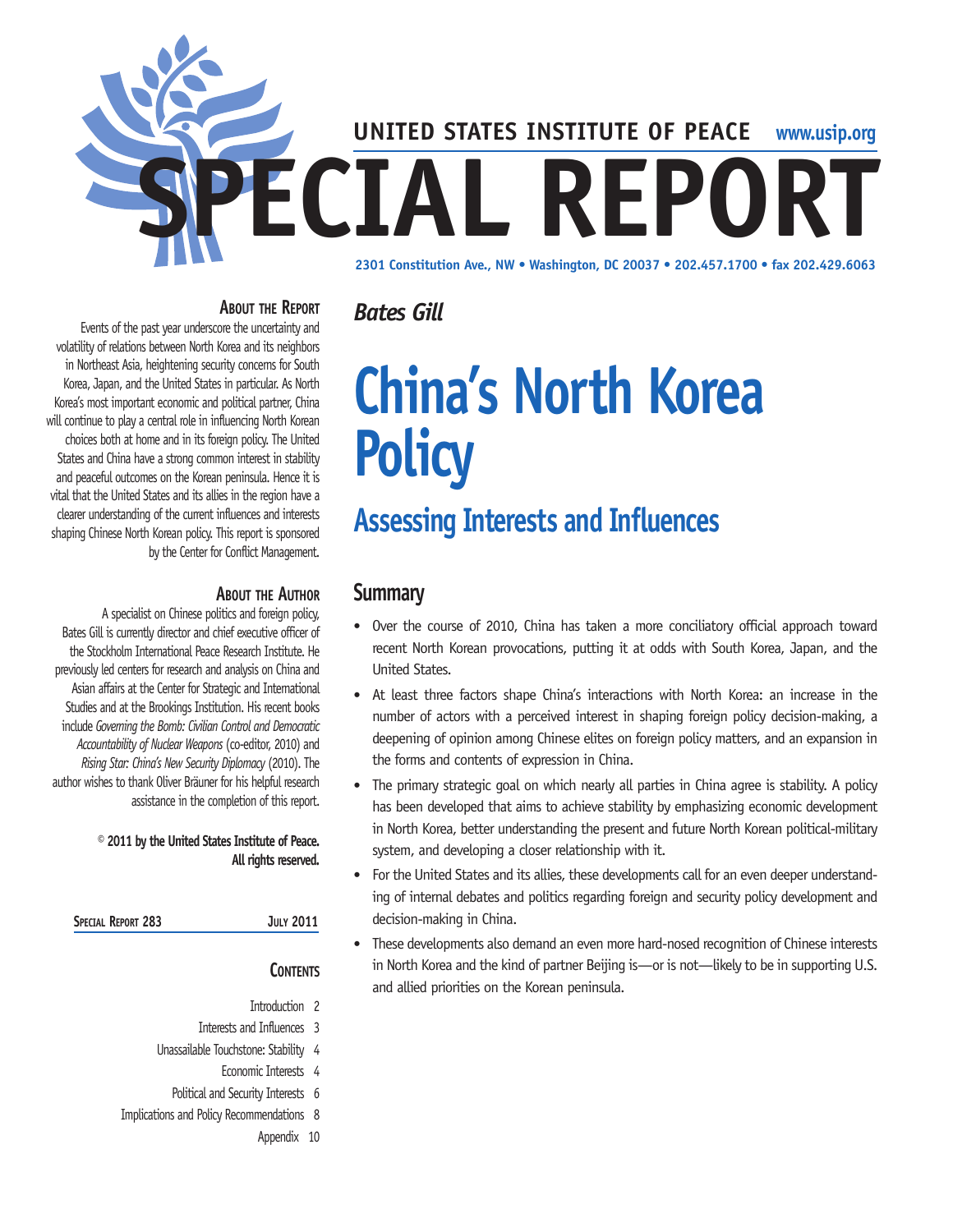

#### **About the Report**

Events of the past year underscore the uncertainty and volatility of relations between North Korea and its neighbors in Northeast Asia, heightening security concerns for South Korea, Japan, and the United States in particular. As North Korea's most important economic and political partner, China will continue to play a central role in influencing North Korean choices both at home and in its foreign policy. The United States and China have a strong common interest in stability and peaceful outcomes on the Korean peninsula. Hence it is vital that the United States and its allies in the region have a clearer understanding of the current influences and interests shaping Chinese North Korean policy. This report is sponsored by the Center for Conflict Management.

#### **About the Author**

A specialist on Chinese politics and foreign policy, Bates Gill is currently director and chief executive officer of the Stockholm International Peace Research Institute. He previously led centers for research and analysis on China and Asian affairs at the Center for Strategic and International Studies and at the Brookings Institution. His recent books include *Governing the Bomb: Civilian Control and Democratic Accountability of Nuclear Weapons* (co-editor, 2010) and *Rising Star: China's New Security Diplomacy* (2010). The author wishes to thank Oliver Bräuner for his helpful research assistance in the completion of this report.

#### **© 2011 by the United States Institute of Peace. All rights reserved.**

| Special Report 283 |  |  |
|--------------------|--|--|
|--------------------|--|--|

#### **Contents**

**Special Report 283 July 2011**

- Introduction 2
- Interests and Influences 3
- Unassailable Touchstone: Stability 4
	- Economic Interests 4
	- Political and Security Interests 6
- Implications and Policy Recommendations 8
	- Appendix 10

# **China's North Korea Policy**

## **Assessing Interests and Influences**

## **Summary**

*Bates Gill*

- Over the course of 2010, China has taken a more conciliatory official approach toward recent North Korean provocations, putting it at odds with South Korea, Japan, and the United States.
- At least three factors shape China's interactions with North Korea: an increase in the number of actors with a perceived interest in shaping foreign policy decision-making, a deepening of opinion among Chinese elites on foreign policy matters, and an expansion in the forms and contents of expression in China.
- The primary strategic goal on which nearly all parties in China agree is stability. A policy has been developed that aims to achieve stability by emphasizing economic development in North Korea, better understanding the present and future North Korean political-military system, and developing a closer relationship with it.
- For the United States and its allies, these developments call for an even deeper understanding of internal debates and politics regarding foreign and security policy development and decision-making in China.
- These developments also demand an even more hard-nosed recognition of Chinese interests in North Korea and the kind of partner Beijing is—or is not—likely to be in supporting U.S. and allied priorities on the Korean peninsula.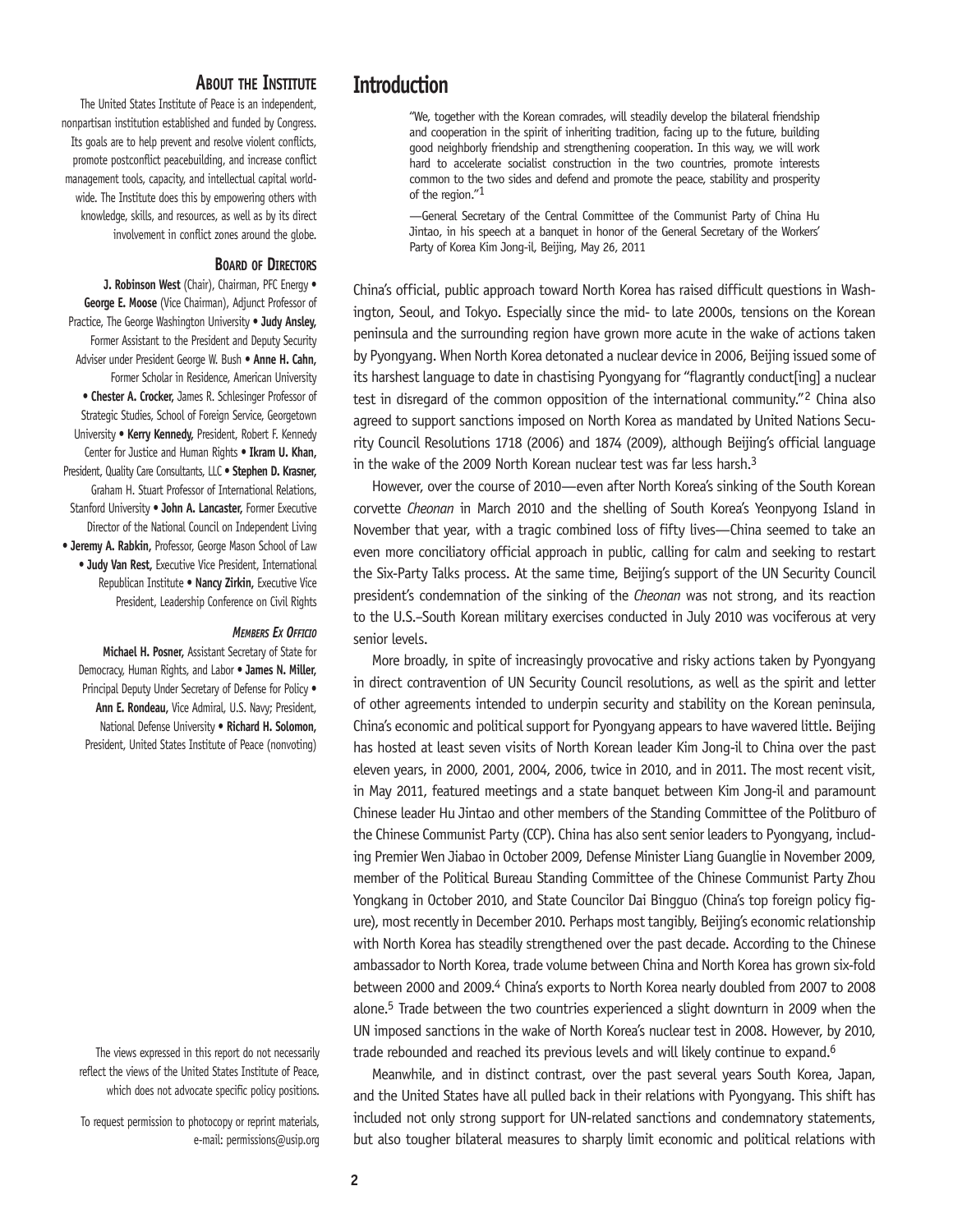#### **About the Institute**

The United States Institute of Peace is an independent, nonpartisan institution established and funded by Congress. Its goals are to help prevent and resolve violent conflicts, promote postconflict peacebuilding, and increase conflict management tools, capacity, and intellectual capital worldwide. The Institute does this by empowering others with knowledge, skills, and resources, as well as by its direct involvement in conflict zones around the globe.

#### **Board of Directors**

**J. Robinson West** (Chair), Chairman, PFC Energy • **George E. Moose** (Vice Chairman), Adjunct Professor of Practice, The George Washington University • **Judy Ansley,** Former Assistant to the President and Deputy Security Adviser under President George W. Bush • **Anne H. Cahn,** Former Scholar in Residence, American University • **Chester A. Crocker,** James R. Schlesinger Professor of Strategic Studies, School of Foreign Service, Georgetown University • **Kerry Kennedy,** President, Robert F. Kennedy Center for Justice and Human Rights • **Ikram U. Khan,** President, Quality Care Consultants, LLC • **Stephen D. Krasner,** Graham H. Stuart Professor of International Relations, Stanford University • **John A. Lancaster,** Former Executive Director of the National Council on Independent Living • **Jeremy A. Rabkin,** Professor, George Mason School of Law • **Judy Van Rest,** Executive Vice President, International Republican Institute • **Nancy Zirkin,** Executive Vice President, Leadership Conference on Civil Rights

#### *Members Ex Officio*

**Michael H. Posner,** Assistant Secretary of State for Democracy, Human Rights, and Labor • **James N. Miller,**  Principal Deputy Under Secretary of Defense for Policy • **Ann E. Rondeau,** Vice Admiral, U.S. Navy; President, National Defense University • **Richard H. Solomon,**  President, United States Institute of Peace (nonvoting)

The views expressed in this report do not necessarily reflect the views of the United States Institute of Peace, which does not advocate specific policy positions.

To request permission to photocopy or reprint materials, e-mail: permissions@usip.org

## **Introduction**

"We, together with the Korean comrades, will steadily develop the bilateral friendship and cooperation in the spirit of inheriting tradition, facing up to the future, building good neighborly friendship and strengthening cooperation. In this way, we will work hard to accelerate socialist construction in the two countries, promote interests common to the two sides and defend and promote the peace, stability and prosperity of the region."1

—General Secretary of the Central Committee of the Communist Party of China Hu Jintao, in his speech at a banquet in honor of the General Secretary of the Workers' Party of Korea Kim Jong-il, Beijing, May 26, 2011

China's official, public approach toward North Korea has raised difficult questions in Washington, Seoul, and Tokyo. Especially since the mid- to late 2000s, tensions on the Korean peninsula and the surrounding region have grown more acute in the wake of actions taken by Pyongyang. When North Korea detonated a nuclear device in 2006, Beijing issued some of its harshest language to date in chastising Pyongyang for "flagrantly conduct[ing] a nuclear test in disregard of the common opposition of the international community."2 China also agreed to support sanctions imposed on North Korea as mandated by United Nations Security Council Resolutions 1718 (2006) and 1874 (2009), although Beijing's official language in the wake of the 2009 North Korean nuclear test was far less harsh.<sup>3</sup>

However, over the course of 2010—even after North Korea's sinking of the South Korean corvette *Cheonan* in March 2010 and the shelling of South Korea's Yeonpyong Island in November that year, with a tragic combined loss of fifty lives—China seemed to take an even more conciliatory official approach in public, calling for calm and seeking to restart the Six-Party Talks process. At the same time, Beijing's support of the UN Security Council president's condemnation of the sinking of the *Cheonan* was not strong, and its reaction to the U.S.–South Korean military exercises conducted in July 2010 was vociferous at very senior levels.

More broadly, in spite of increasingly provocative and risky actions taken by Pyongyang in direct contravention of UN Security Council resolutions, as well as the spirit and letter of other agreements intended to underpin security and stability on the Korean peninsula, China's economic and political support for Pyongyang appears to have wavered little. Beijing has hosted at least seven visits of North Korean leader Kim Jong-il to China over the past eleven years, in 2000, 2001, 2004, 2006, twice in 2010, and in 2011. The most recent visit, in May 2011, featured meetings and a state banquet between Kim Jong-il and paramount Chinese leader Hu Jintao and other members of the Standing Committee of the Politburo of the Chinese Communist Party (CCP). China has also sent senior leaders to Pyongyang, including Premier Wen Jiabao in October 2009, Defense Minister Liang Guanglie in November 2009, member of the Political Bureau Standing Committee of the Chinese Communist Party Zhou Yongkang in October 2010, and State Councilor Dai Bingguo (China's top foreign policy figure), most recently in December 2010. Perhaps most tangibly, Beijing's economic relationship with North Korea has steadily strengthened over the past decade. According to the Chinese ambassador to North Korea, trade volume between China and North Korea has grown six-fold between 2000 and 2009.4 China's exports to North Korea nearly doubled from 2007 to 2008 alone.5 Trade between the two countries experienced a slight downturn in 2009 when the UN imposed sanctions in the wake of North Korea's nuclear test in 2008. However, by 2010, trade rebounded and reached its previous levels and will likely continue to expand.<sup>6</sup>

Meanwhile, and in distinct contrast, over the past several years South Korea, Japan, and the United States have all pulled back in their relations with Pyongyang. This shift has included not only strong support for UN-related sanctions and condemnatory statements, but also tougher bilateral measures to sharply limit economic and political relations with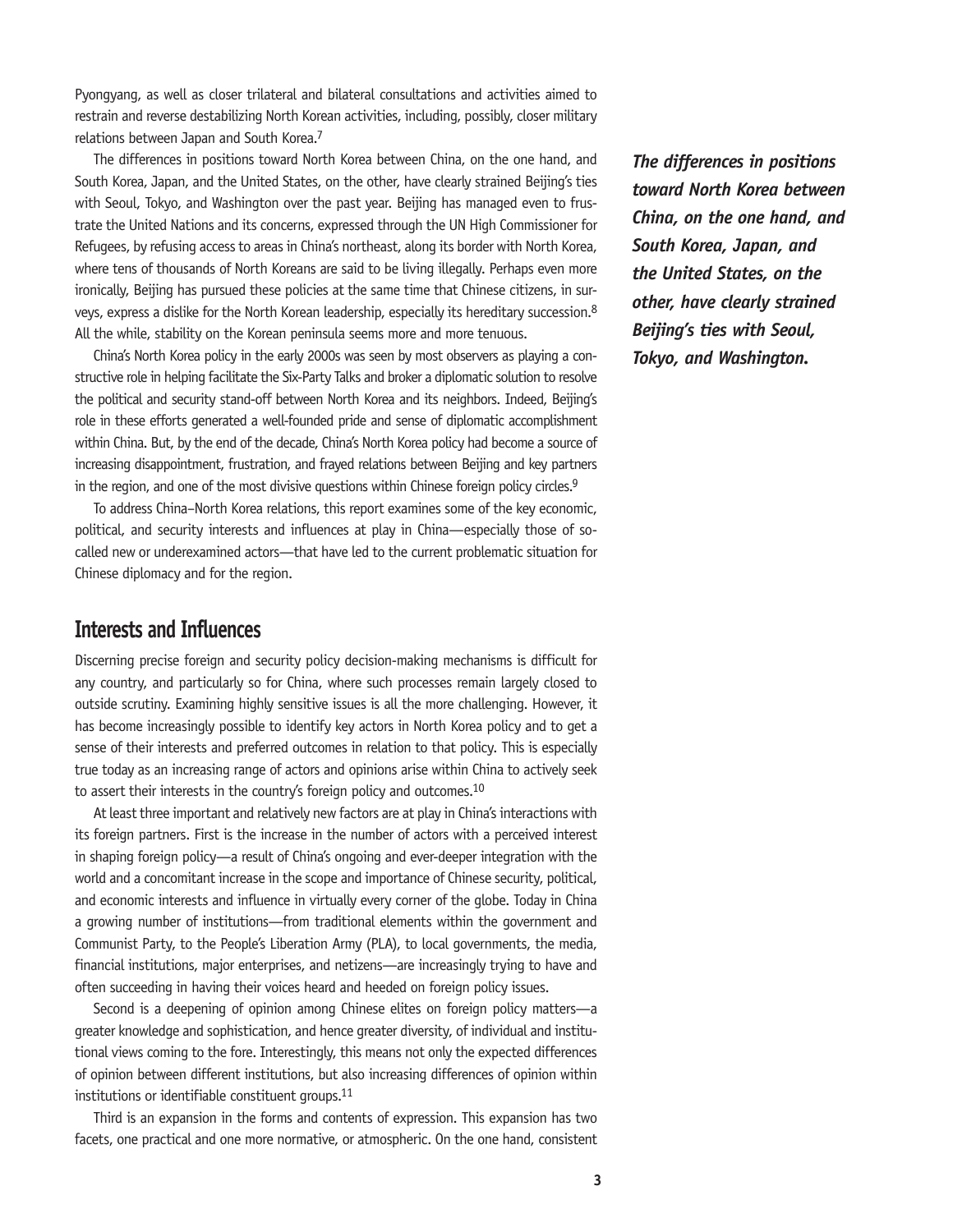Pyongyang, as well as closer trilateral and bilateral consultations and activities aimed to restrain and reverse destabilizing North Korean activities, including, possibly, closer military relations between Japan and South Korea.7

The differences in positions toward North Korea between China, on the one hand, and South Korea, Japan, and the United States, on the other, have clearly strained Beijing's ties with Seoul, Tokyo, and Washington over the past year. Beijing has managed even to frustrate the United Nations and its concerns, expressed through the UN High Commissioner for Refugees, by refusing access to areas in China's northeast, along its border with North Korea, where tens of thousands of North Koreans are said to be living illegally. Perhaps even more ironically, Beijing has pursued these policies at the same time that Chinese citizens, in surveys, express a dislike for the North Korean leadership, especially its hereditary succession.8 All the while, stability on the Korean peninsula seems more and more tenuous.

China's North Korea policy in the early 2000s was seen by most observers as playing a constructive role in helping facilitate the Six-Party Talks and broker a diplomatic solution to resolve the political and security stand-off between North Korea and its neighbors. Indeed, Beijing's role in these efforts generated a well-founded pride and sense of diplomatic accomplishment within China. But, by the end of the decade, China's North Korea policy had become a source of increasing disappointment, frustration, and frayed relations between Beijing and key partners in the region, and one of the most divisive questions within Chinese foreign policy circles.<sup>9</sup>

To address China–North Korea relations, this report examines some of the key economic, political, and security interests and influences at play in China—especially those of socalled new or underexamined actors—that have led to the current problematic situation for Chinese diplomacy and for the region.

## **Interests and Influences**

Discerning precise foreign and security policy decision-making mechanisms is difficult for any country, and particularly so for China, where such processes remain largely closed to outside scrutiny. Examining highly sensitive issues is all the more challenging. However, it has become increasingly possible to identify key actors in North Korea policy and to get a sense of their interests and preferred outcomes in relation to that policy. This is especially true today as an increasing range of actors and opinions arise within China to actively seek to assert their interests in the country's foreign policy and outcomes.10

At least three important and relatively new factors are at play in China's interactions with its foreign partners. First is the increase in the number of actors with a perceived interest in shaping foreign policy—a result of China's ongoing and ever-deeper integration with the world and a concomitant increase in the scope and importance of Chinese security, political, and economic interests and influence in virtually every corner of the globe. Today in China a growing number of institutions—from traditional elements within the government and Communist Party, to the People's Liberation Army (PLA), to local governments, the media, financial institutions, major enterprises, and netizens—are increasingly trying to have and often succeeding in having their voices heard and heeded on foreign policy issues.

Second is a deepening of opinion among Chinese elites on foreign policy matters—a greater knowledge and sophistication, and hence greater diversity, of individual and institutional views coming to the fore. Interestingly, this means not only the expected differences of opinion between different institutions, but also increasing differences of opinion within institutions or identifiable constituent groups.<sup>11</sup>

Third is an expansion in the forms and contents of expression. This expansion has two facets, one practical and one more normative, or atmospheric. On the one hand, consistent *The differences in positions toward North Korea between China, on the one hand, and South Korea, Japan, and the United States, on the other, have clearly strained Beijing's ties with Seoul, Tokyo, and Washington.*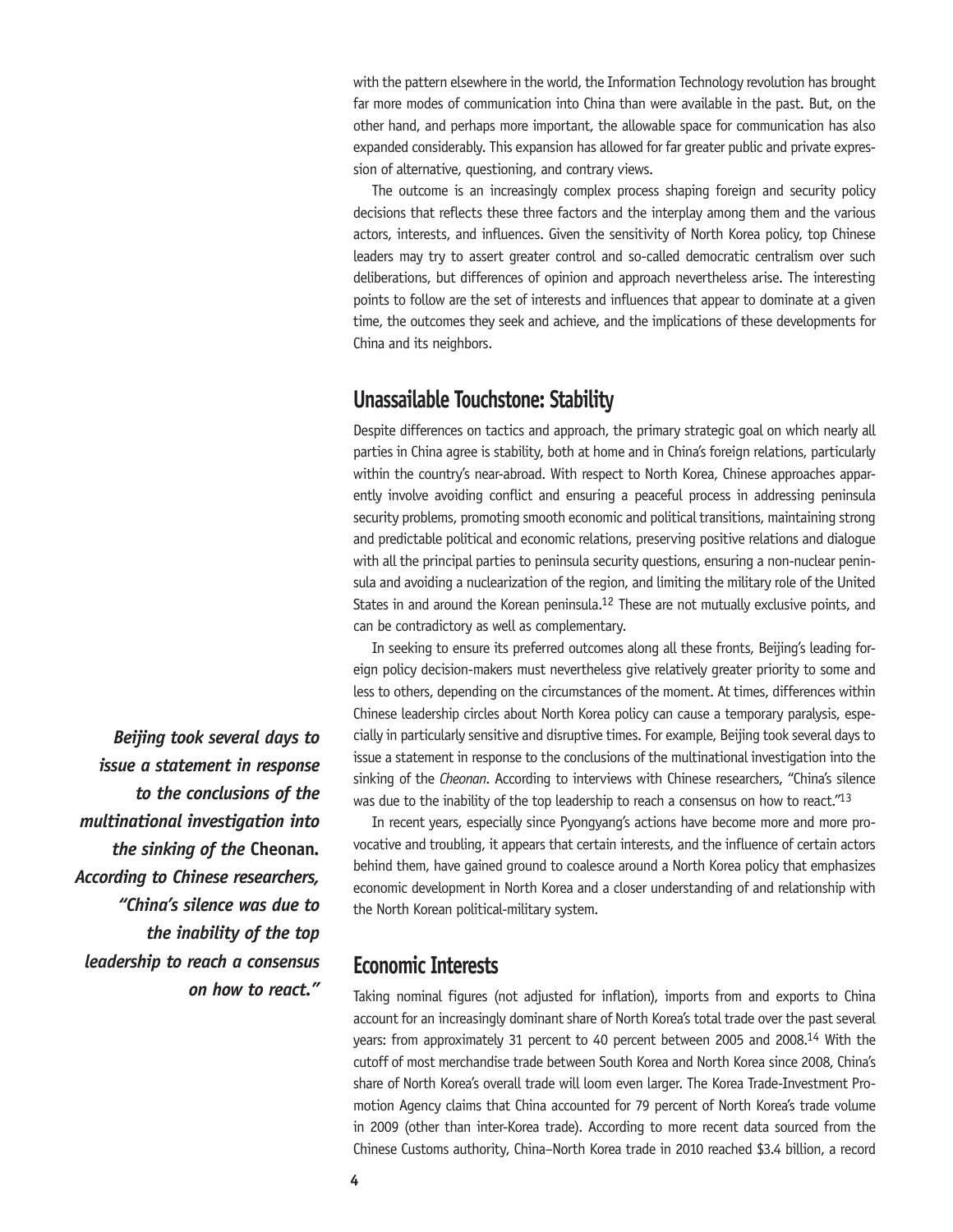with the pattern elsewhere in the world, the Information Technology revolution has brought far more modes of communication into China than were available in the past. But, on the other hand, and perhaps more important, the allowable space for communication has also expanded considerably. This expansion has allowed for far greater public and private expression of alternative, questioning, and contrary views.

The outcome is an increasingly complex process shaping foreign and security policy decisions that reflects these three factors and the interplay among them and the various actors, interests, and influences. Given the sensitivity of North Korea policy, top Chinese leaders may try to assert greater control and so-called democratic centralism over such deliberations, but differences of opinion and approach nevertheless arise. The interesting points to follow are the set of interests and influences that appear to dominate at a given time, the outcomes they seek and achieve, and the implications of these developments for China and its neighbors.

## **Unassailable Touchstone: Stability**

Despite differences on tactics and approach, the primary strategic goal on which nearly all parties in China agree is stability, both at home and in China's foreign relations, particularly within the country's near-abroad. With respect to North Korea, Chinese approaches apparently involve avoiding conflict and ensuring a peaceful process in addressing peninsula security problems, promoting smooth economic and political transitions, maintaining strong and predictable political and economic relations, preserving positive relations and dialogue with all the principal parties to peninsula security questions, ensuring a non-nuclear peninsula and avoiding a nuclearization of the region, and limiting the military role of the United States in and around the Korean peninsula.<sup>12</sup> These are not mutually exclusive points, and can be contradictory as well as complementary.

In seeking to ensure its preferred outcomes along all these fronts, Beijing's leading foreign policy decision-makers must nevertheless give relatively greater priority to some and less to others, depending on the circumstances of the moment. At times, differences within Chinese leadership circles about North Korea policy can cause a temporary paralysis, especially in particularly sensitive and disruptive times. For example, Beijing took several days to issue a statement in response to the conclusions of the multinational investigation into the sinking of the *Cheonan*. According to interviews with Chinese researchers, "China's silence was due to the inability of the top leadership to reach a consensus on how to react."<sup>13</sup>

In recent years, especially since Pyongyang's actions have become more and more provocative and troubling, it appears that certain interests, and the influence of certain actors behind them, have gained ground to coalesce around a North Korea policy that emphasizes economic development in North Korea and a closer understanding of and relationship with the North Korean political-military system.

## **Economic Interests**

Taking nominal figures (not adjusted for inflation), imports from and exports to China account for an increasingly dominant share of North Korea's total trade over the past several years: from approximately 31 percent to 40 percent between 2005 and 2008.14 With the cutoff of most merchandise trade between South Korea and North Korea since 2008, China's share of North Korea's overall trade will loom even larger. The Korea Trade-Investment Promotion Agency claims that China accounted for 79 percent of North Korea's trade volume in 2009 (other than inter-Korea trade). According to more recent data sourced from the Chinese Customs authority, China–North Korea trade in 2010 reached \$3.4 billion, a record

*Beijing took several days to issue a statement in response to the conclusions of the multinational investigation into the sinking of the* **Cheonan***. According to Chinese researchers, "China's silence was due to the inability of the top leadership to reach a consensus on how to react."*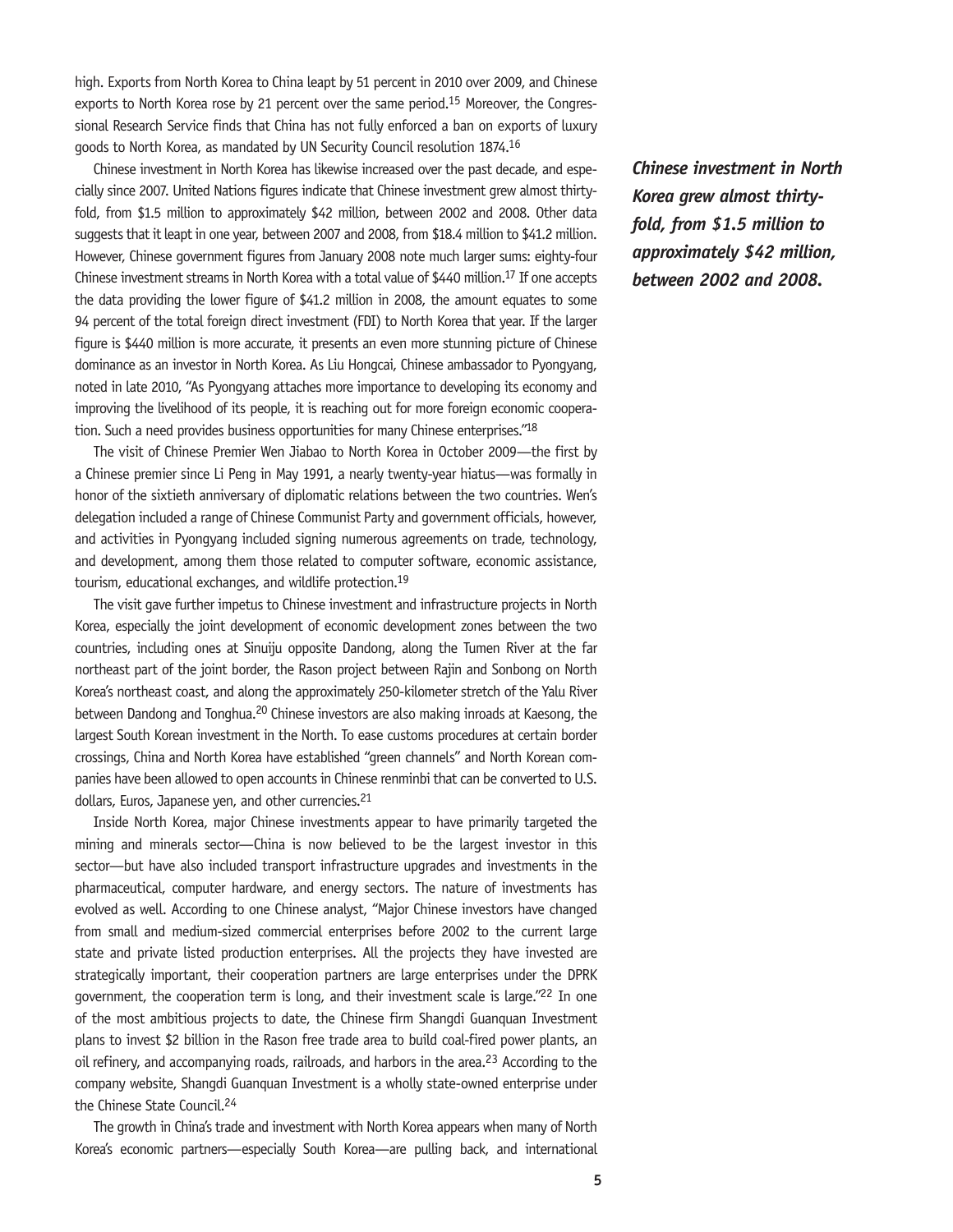high. Exports from North Korea to China leapt by 51 percent in 2010 over 2009, and Chinese exports to North Korea rose by 21 percent over the same period.<sup>15</sup> Moreover, the Congressional Research Service finds that China has not fully enforced a ban on exports of luxury goods to North Korea, as mandated by UN Security Council resolution 1874.16

Chinese investment in North Korea has likewise increased over the past decade, and especially since 2007. United Nations figures indicate that Chinese investment grew almost thirtyfold, from \$1.5 million to approximately \$42 million, between 2002 and 2008. Other data suggests that it leapt in one year, between 2007 and 2008, from \$18.4 million to \$41.2 million. However, Chinese government figures from January 2008 note much larger sums: eighty-four Chinese investment streams in North Korea with a total value of \$440 million.17 If one accepts the data providing the lower figure of \$41.2 million in 2008, the amount equates to some 94 percent of the total foreign direct investment (FDI) to North Korea that year. If the larger figure is \$440 million is more accurate, it presents an even more stunning picture of Chinese dominance as an investor in North Korea. As Liu Hongcai, Chinese ambassador to Pyongyang, noted in late 2010, "As Pyongyang attaches more importance to developing its economy and improving the livelihood of its people, it is reaching out for more foreign economic cooperation. Such a need provides business opportunities for many Chinese enterprises."18

The visit of Chinese Premier Wen Jiabao to North Korea in October 2009—the first by a Chinese premier since Li Peng in May 1991, a nearly twenty-year hiatus—was formally in honor of the sixtieth anniversary of diplomatic relations between the two countries. Wen's delegation included a range of Chinese Communist Party and government officials, however, and activities in Pyongyang included signing numerous agreements on trade, technology, and development, among them those related to computer software, economic assistance, tourism, educational exchanges, and wildlife protection.19

The visit gave further impetus to Chinese investment and infrastructure projects in North Korea, especially the joint development of economic development zones between the two countries, including ones at Sinuiju opposite Dandong, along the Tumen River at the far northeast part of the joint border, the Rason project between Rajin and Sonbong on North Korea's northeast coast, and along the approximately 250-kilometer stretch of the Yalu River between Dandong and Tonghua.<sup>20</sup> Chinese investors are also making inroads at Kaesong, the largest South Korean investment in the North. To ease customs procedures at certain border crossings, China and North Korea have established "green channels" and North Korean companies have been allowed to open accounts in Chinese renminbi that can be converted to U.S. dollars, Euros, Japanese yen, and other currencies.<sup>21</sup>

Inside North Korea, major Chinese investments appear to have primarily targeted the mining and minerals sector—China is now believed to be the largest investor in this sector—but have also included transport infrastructure upgrades and investments in the pharmaceutical, computer hardware, and energy sectors. The nature of investments has evolved as well. According to one Chinese analyst, "Major Chinese investors have changed from small and medium-sized commercial enterprises before 2002 to the current large state and private listed production enterprises. All the projects they have invested are strategically important, their cooperation partners are large enterprises under the DPRK government, the cooperation term is long, and their investment scale is large."22 In one of the most ambitious projects to date, the Chinese firm Shangdi Guanquan Investment plans to invest \$2 billion in the Rason free trade area to build coal-fired power plants, an oil refinery, and accompanying roads, railroads, and harbors in the area.<sup>23</sup> According to the company website, Shangdi Guanquan Investment is a wholly state-owned enterprise under the Chinese State Council.24

The growth in China's trade and investment with North Korea appears when many of North Korea's economic partners—especially South Korea—are pulling back, and international *Chinese investment in North Korea grew almost thirtyfold, from \$1.5 million to approximately \$42 million, between 2002 and 2008.*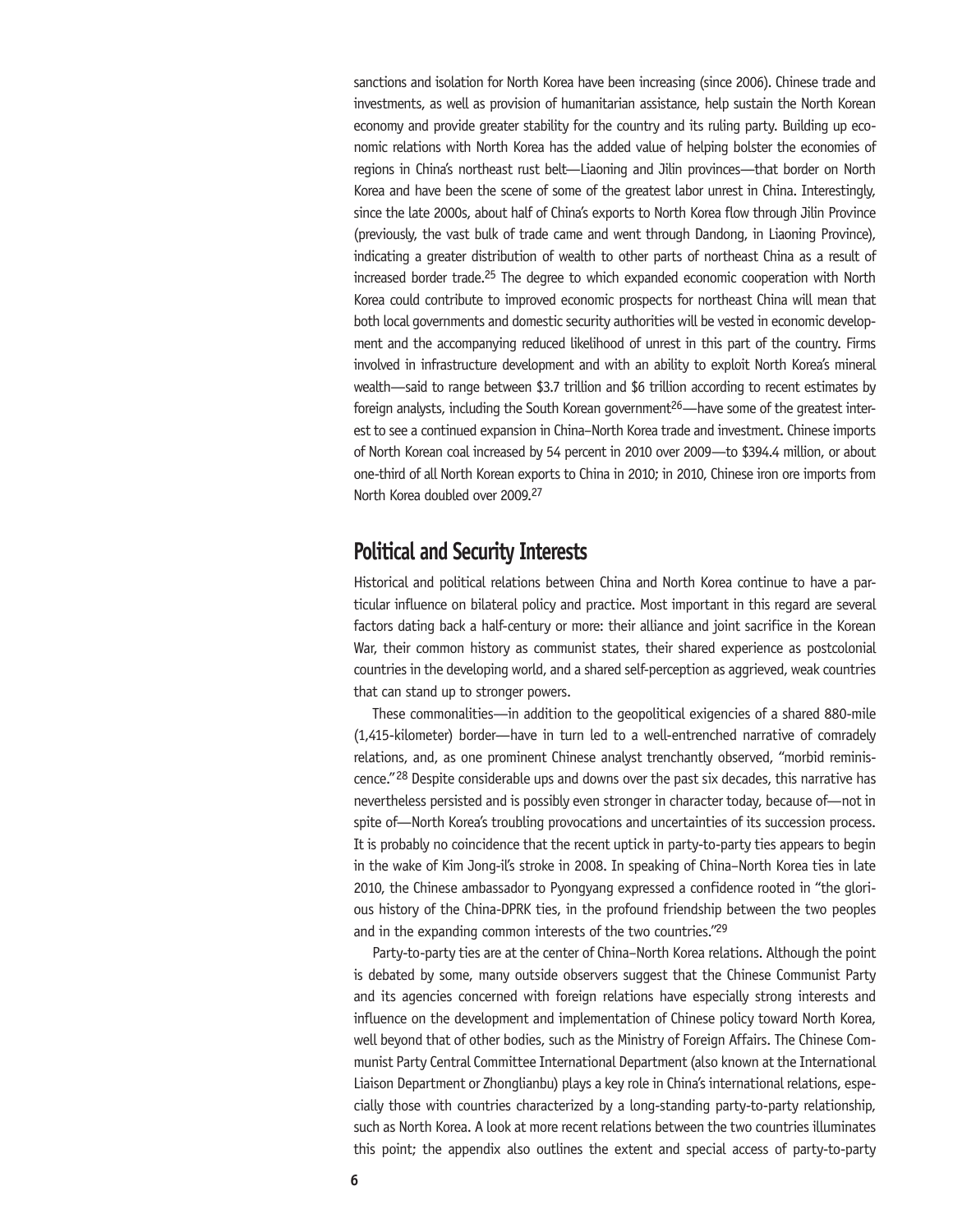sanctions and isolation for North Korea have been increasing (since 2006). Chinese trade and investments, as well as provision of humanitarian assistance, help sustain the North Korean economy and provide greater stability for the country and its ruling party. Building up economic relations with North Korea has the added value of helping bolster the economies of regions in China's northeast rust belt—Liaoning and Jilin provinces—that border on North Korea and have been the scene of some of the greatest labor unrest in China. Interestingly, since the late 2000s, about half of China's exports to North Korea flow through Jilin Province (previously, the vast bulk of trade came and went through Dandong, in Liaoning Province), indicating a greater distribution of wealth to other parts of northeast China as a result of increased border trade.<sup>25</sup> The degree to which expanded economic cooperation with North Korea could contribute to improved economic prospects for northeast China will mean that both local governments and domestic security authorities will be vested in economic development and the accompanying reduced likelihood of unrest in this part of the country. Firms involved in infrastructure development and with an ability to exploit North Korea's mineral wealth—said to range between \$3.7 trillion and \$6 trillion according to recent estimates by foreign analysts, including the South Korean government<sup>26</sup>—have some of the greatest interest to see a continued expansion in China–North Korea trade and investment. Chinese imports of North Korean coal increased by 54 percent in 2010 over 2009—to \$394.4 million, or about one-third of all North Korean exports to China in 2010; in 2010, Chinese iron ore imports from North Korea doubled over 2009.27

## **Political and Security Interests**

Historical and political relations between China and North Korea continue to have a particular influence on bilateral policy and practice. Most important in this regard are several factors dating back a half-century or more: their alliance and joint sacrifice in the Korean War, their common history as communist states, their shared experience as postcolonial countries in the developing world, and a shared self-perception as aggrieved, weak countries that can stand up to stronger powers.

These commonalities—in addition to the geopolitical exigencies of a shared 880-mile (1,415-kilometer) border—have in turn led to a well-entrenched narrative of comradely relations, and, as one prominent Chinese analyst trenchantly observed, "morbid reminiscence."28 Despite considerable ups and downs over the past six decades, this narrative has nevertheless persisted and is possibly even stronger in character today, because of—not in spite of—North Korea's troubling provocations and uncertainties of its succession process. It is probably no coincidence that the recent uptick in party-to-party ties appears to begin in the wake of Kim Jong-il's stroke in 2008. In speaking of China–North Korea ties in late 2010, the Chinese ambassador to Pyongyang expressed a confidence rooted in "the glorious history of the China-DPRK ties, in the profound friendship between the two peoples and in the expanding common interests of the two countries."29

Party-to-party ties are at the center of China–North Korea relations. Although the point is debated by some, many outside observers suggest that the Chinese Communist Party and its agencies concerned with foreign relations have especially strong interests and influence on the development and implementation of Chinese policy toward North Korea, well beyond that of other bodies, such as the Ministry of Foreign Affairs. The Chinese Communist Party Central Committee International Department (also known at the International Liaison Department or Zhonglianbu) plays a key role in China's international relations, especially those with countries characterized by a long-standing party-to-party relationship, such as North Korea. A look at more recent relations between the two countries illuminates this point; the appendix also outlines the extent and special access of party-to-party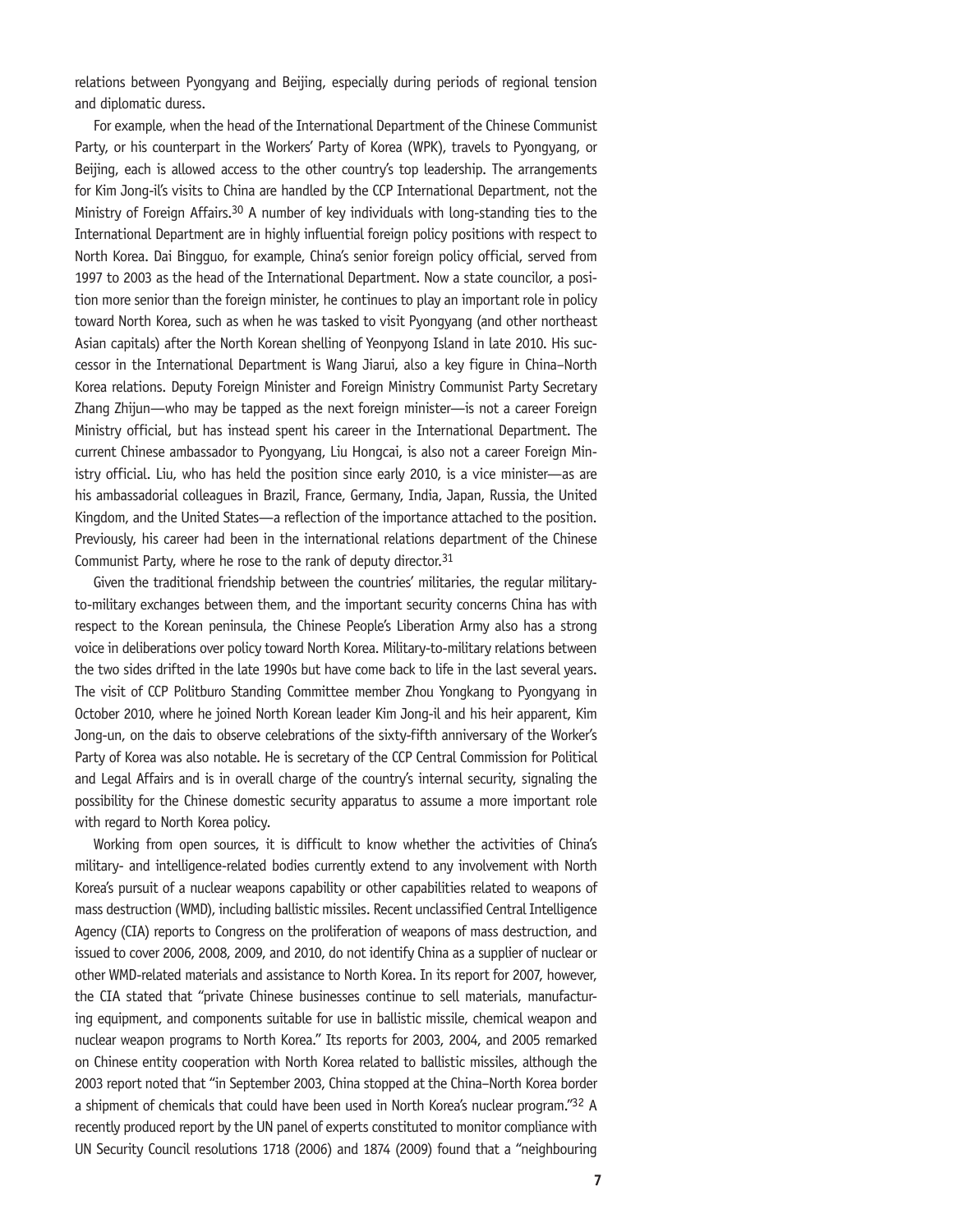relations between Pyongyang and Beijing, especially during periods of regional tension and diplomatic duress.

For example, when the head of the International Department of the Chinese Communist Party, or his counterpart in the Workers' Party of Korea (WPK), travels to Pyongyang, or Beijing, each is allowed access to the other country's top leadership. The arrangements for Kim Jong-il's visits to China are handled by the CCP International Department, not the Ministry of Foreign Affairs.<sup>30</sup> A number of key individuals with long-standing ties to the International Department are in highly influential foreign policy positions with respect to North Korea. Dai Bingguo, for example, China's senior foreign policy official, served from 1997 to 2003 as the head of the International Department. Now a state councilor, a position more senior than the foreign minister, he continues to play an important role in policy toward North Korea, such as when he was tasked to visit Pyongyang (and other northeast Asian capitals) after the North Korean shelling of Yeonpyong Island in late 2010. His successor in the International Department is Wang Jiarui, also a key figure in China–North Korea relations. Deputy Foreign Minister and Foreign Ministry Communist Party Secretary Zhang Zhijun—who may be tapped as the next foreign minister—is not a career Foreign Ministry official, but has instead spent his career in the International Department. The current Chinese ambassador to Pyongyang, Liu Hongcai, is also not a career Foreign Ministry official. Liu, who has held the position since early 2010, is a vice minister—as are his ambassadorial colleagues in Brazil, France, Germany, India, Japan, Russia, the United Kingdom, and the United States—a reflection of the importance attached to the position. Previously, his career had been in the international relations department of the Chinese Communist Party, where he rose to the rank of deputy director.<sup>31</sup>

Given the traditional friendship between the countries' militaries, the regular militaryto-military exchanges between them, and the important security concerns China has with respect to the Korean peninsula, the Chinese People's Liberation Army also has a strong voice in deliberations over policy toward North Korea. Military-to-military relations between the two sides drifted in the late 1990s but have come back to life in the last several years. The visit of CCP Politburo Standing Committee member Zhou Yongkang to Pyongyang in October 2010, where he joined North Korean leader Kim Jong-il and his heir apparent, Kim Jong-un, on the dais to observe celebrations of the sixty-fifth anniversary of the Worker's Party of Korea was also notable. He is secretary of the CCP Central Commission for Political and Legal Affairs and is in overall charge of the country's internal security, signaling the possibility for the Chinese domestic security apparatus to assume a more important role with regard to North Korea policy.

Working from open sources, it is difficult to know whether the activities of China's military- and intelligence-related bodies currently extend to any involvement with North Korea's pursuit of a nuclear weapons capability or other capabilities related to weapons of mass destruction (WMD), including ballistic missiles. Recent unclassified Central Intelligence Agency (CIA) reports to Congress on the proliferation of weapons of mass destruction, and issued to cover 2006, 2008, 2009, and 2010, do not identify China as a supplier of nuclear or other WMD-related materials and assistance to North Korea. In its report for 2007, however, the CIA stated that "private Chinese businesses continue to sell materials, manufacturing equipment, and components suitable for use in ballistic missile, chemical weapon and nuclear weapon programs to North Korea." Its reports for 2003, 2004, and 2005 remarked on Chinese entity cooperation with North Korea related to ballistic missiles, although the 2003 report noted that "in September 2003, China stopped at the China–North Korea border a shipment of chemicals that could have been used in North Korea's nuclear program."32 A recently produced report by the UN panel of experts constituted to monitor compliance with UN Security Council resolutions 1718 (2006) and 1874 (2009) found that a "neighbouring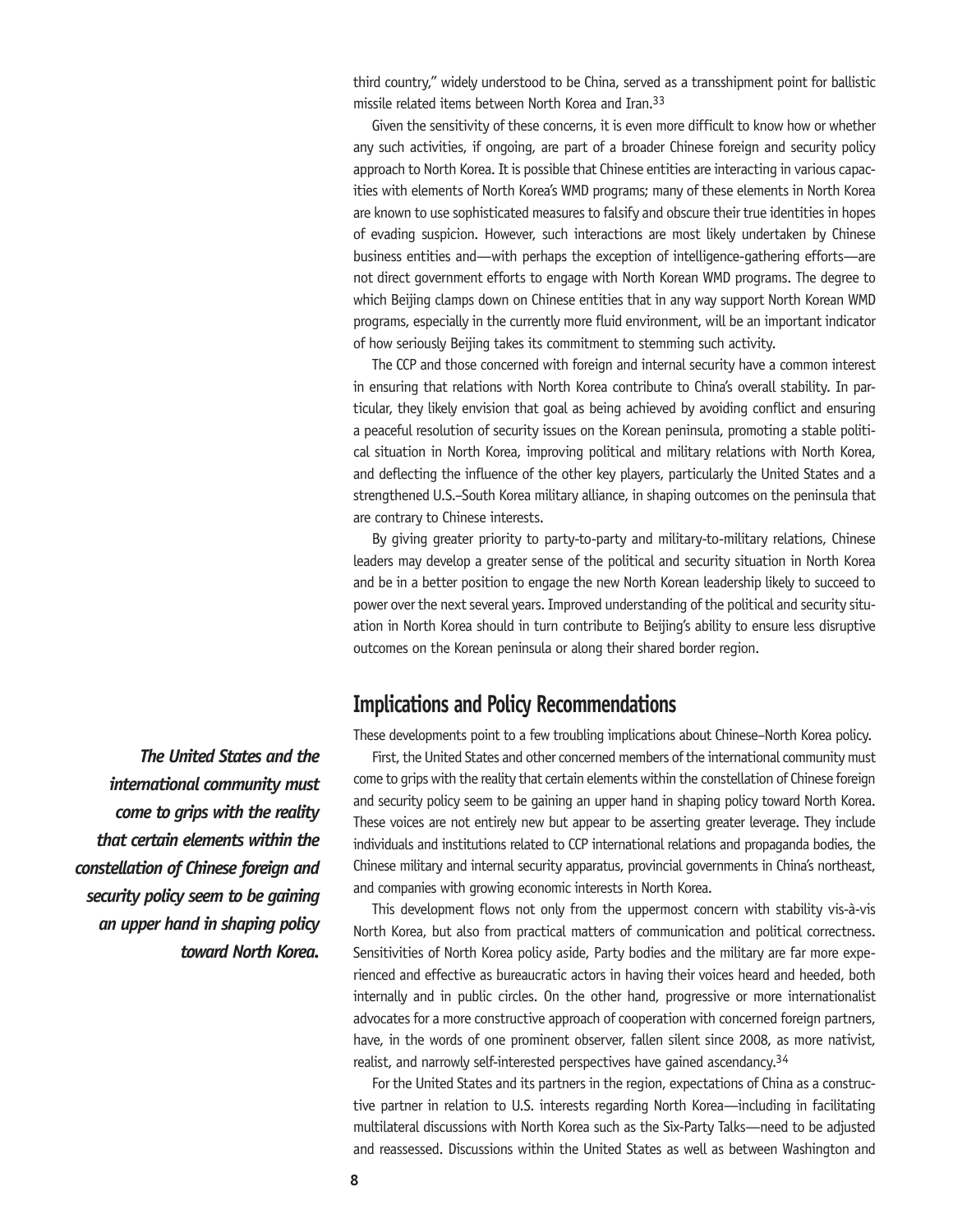third country," widely understood to be China, served as a transshipment point for ballistic missile related items between North Korea and Iran.33

Given the sensitivity of these concerns, it is even more difficult to know how or whether any such activities, if ongoing, are part of a broader Chinese foreign and security policy approach to North Korea. It is possible that Chinese entities are interacting in various capacities with elements of North Korea's WMD programs; many of these elements in North Korea are known to use sophisticated measures to falsify and obscure their true identities in hopes of evading suspicion. However, such interactions are most likely undertaken by Chinese business entities and—with perhaps the exception of intelligence-gathering efforts—are not direct government efforts to engage with North Korean WMD programs. The degree to which Beijing clamps down on Chinese entities that in any way support North Korean WMD programs, especially in the currently more fluid environment, will be an important indicator of how seriously Beijing takes its commitment to stemming such activity.

The CCP and those concerned with foreign and internal security have a common interest in ensuring that relations with North Korea contribute to China's overall stability. In particular, they likely envision that goal as being achieved by avoiding conflict and ensuring a peaceful resolution of security issues on the Korean peninsula, promoting a stable political situation in North Korea, improving political and military relations with North Korea, and deflecting the influence of the other key players, particularly the United States and a strengthened U.S.–South Korea military alliance, in shaping outcomes on the peninsula that are contrary to Chinese interests.

By giving greater priority to party-to-party and military-to-military relations, Chinese leaders may develop a greater sense of the political and security situation in North Korea and be in a better position to engage the new North Korean leadership likely to succeed to power over the next several years. Improved understanding of the political and security situation in North Korea should in turn contribute to Beijing's ability to ensure less disruptive outcomes on the Korean peninsula or along their shared border region.

## **Implications and Policy Recommendations**

These developments point to a few troubling implications about Chinese–North Korea policy.

First, the United States and other concerned members of the international community must come to grips with the reality that certain elements within the constellation of Chinese foreign and security policy seem to be gaining an upper hand in shaping policy toward North Korea. These voices are not entirely new but appear to be asserting greater leverage. They include individuals and institutions related to CCP international relations and propaganda bodies, the Chinese military and internal security apparatus, provincial governments in China's northeast, and companies with growing economic interests in North Korea.

This development flows not only from the uppermost concern with stability vis-à-vis North Korea, but also from practical matters of communication and political correctness. Sensitivities of North Korea policy aside, Party bodies and the military are far more experienced and effective as bureaucratic actors in having their voices heard and heeded, both internally and in public circles. On the other hand, progressive or more internationalist advocates for a more constructive approach of cooperation with concerned foreign partners, have, in the words of one prominent observer, fallen silent since 2008, as more nativist, realist, and narrowly self-interested perspectives have gained ascendancy.<sup>34</sup>

For the United States and its partners in the region, expectations of China as a constructive partner in relation to U.S. interests regarding North Korea—including in facilitating multilateral discussions with North Korea such as the Six-Party Talks—need to be adjusted and reassessed. Discussions within the United States as well as between Washington and

*The United States and the international community must come to grips with the reality that certain elements within the constellation of Chinese foreign and security policy seem to be gaining an upper hand in shaping policy toward North Korea.*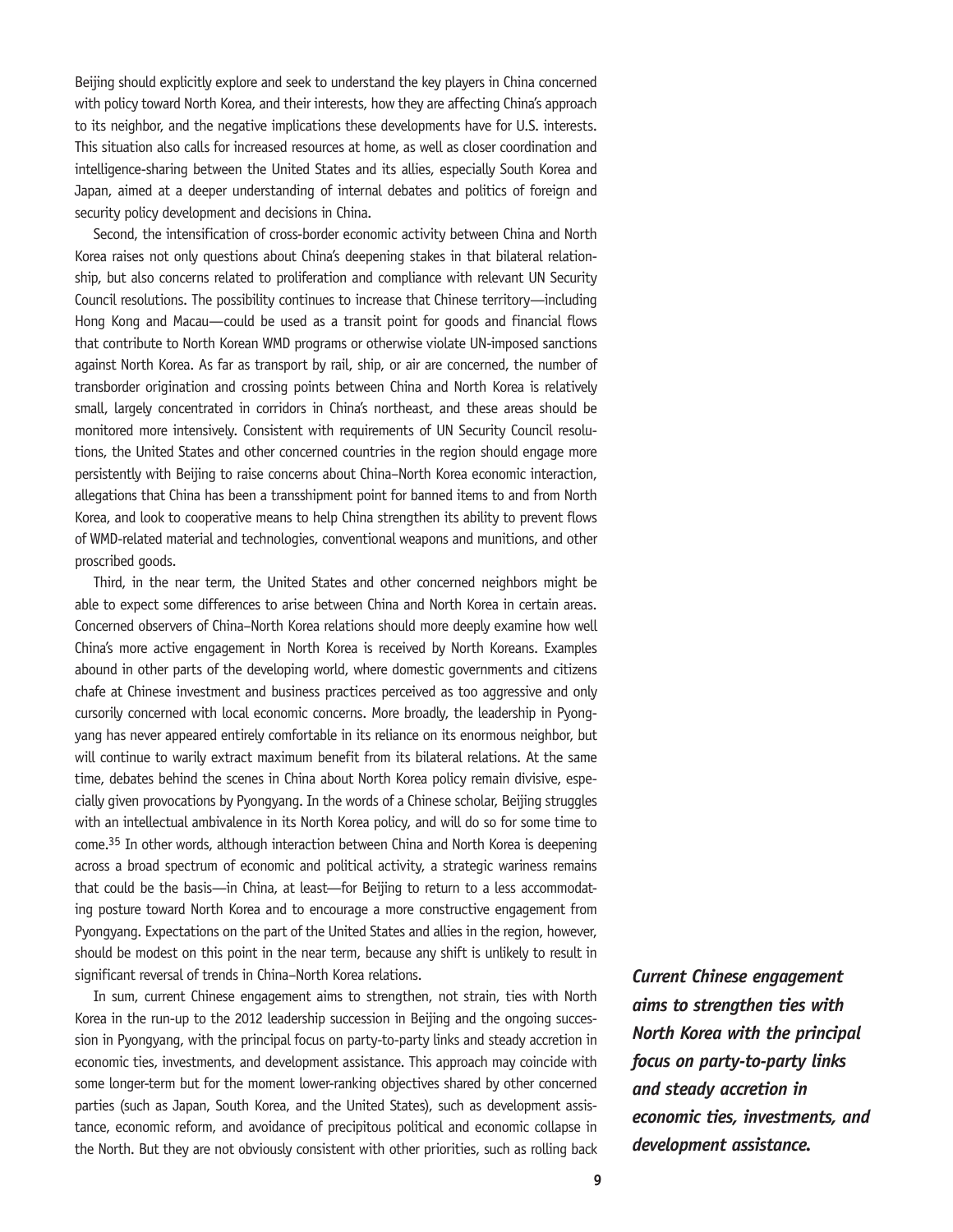Beijing should explicitly explore and seek to understand the key players in China concerned with policy toward North Korea, and their interests, how they are affecting China's approach to its neighbor, and the negative implications these developments have for U.S. interests. This situation also calls for increased resources at home, as well as closer coordination and intelligence-sharing between the United States and its allies, especially South Korea and Japan, aimed at a deeper understanding of internal debates and politics of foreign and security policy development and decisions in China.

Second, the intensification of cross-border economic activity between China and North Korea raises not only questions about China's deepening stakes in that bilateral relationship, but also concerns related to proliferation and compliance with relevant UN Security Council resolutions. The possibility continues to increase that Chinese territory—including Hong Kong and Macau—could be used as a transit point for goods and financial flows that contribute to North Korean WMD programs or otherwise violate UN-imposed sanctions against North Korea. As far as transport by rail, ship, or air are concerned, the number of transborder origination and crossing points between China and North Korea is relatively small, largely concentrated in corridors in China's northeast, and these areas should be monitored more intensively. Consistent with requirements of UN Security Council resolutions, the United States and other concerned countries in the region should engage more persistently with Beijing to raise concerns about China–North Korea economic interaction, allegations that China has been a transshipment point for banned items to and from North Korea, and look to cooperative means to help China strengthen its ability to prevent flows of WMD-related material and technologies, conventional weapons and munitions, and other proscribed goods.

Third, in the near term, the United States and other concerned neighbors might be able to expect some differences to arise between China and North Korea in certain areas. Concerned observers of China–North Korea relations should more deeply examine how well China's more active engagement in North Korea is received by North Koreans. Examples abound in other parts of the developing world, where domestic governments and citizens chafe at Chinese investment and business practices perceived as too aggressive and only cursorily concerned with local economic concerns. More broadly, the leadership in Pyongyang has never appeared entirely comfortable in its reliance on its enormous neighbor, but will continue to warily extract maximum benefit from its bilateral relations. At the same time, debates behind the scenes in China about North Korea policy remain divisive, especially given provocations by Pyongyang. In the words of a Chinese scholar, Beijing struggles with an intellectual ambivalence in its North Korea policy, and will do so for some time to come.35 In other words, although interaction between China and North Korea is deepening across a broad spectrum of economic and political activity, a strategic wariness remains that could be the basis—in China, at least—for Beijing to return to a less accommodating posture toward North Korea and to encourage a more constructive engagement from Pyongyang. Expectations on the part of the United States and allies in the region, however, should be modest on this point in the near term, because any shift is unlikely to result in significant reversal of trends in China–North Korea relations.

In sum, current Chinese engagement aims to strengthen, not strain, ties with North Korea in the run-up to the 2012 leadership succession in Beijing and the ongoing succession in Pyongyang, with the principal focus on party-to-party links and steady accretion in economic ties, investments, and development assistance. This approach may coincide with some longer-term but for the moment lower-ranking objectives shared by other concerned parties (such as Japan, South Korea, and the United States), such as development assistance, economic reform, and avoidance of precipitous political and economic collapse in the North. But they are not obviously consistent with other priorities, such as rolling back *Current Chinese engagement aims to strengthen ties with North Korea with the principal focus on party-to-party links and steady accretion in economic ties, investments, and development assistance.*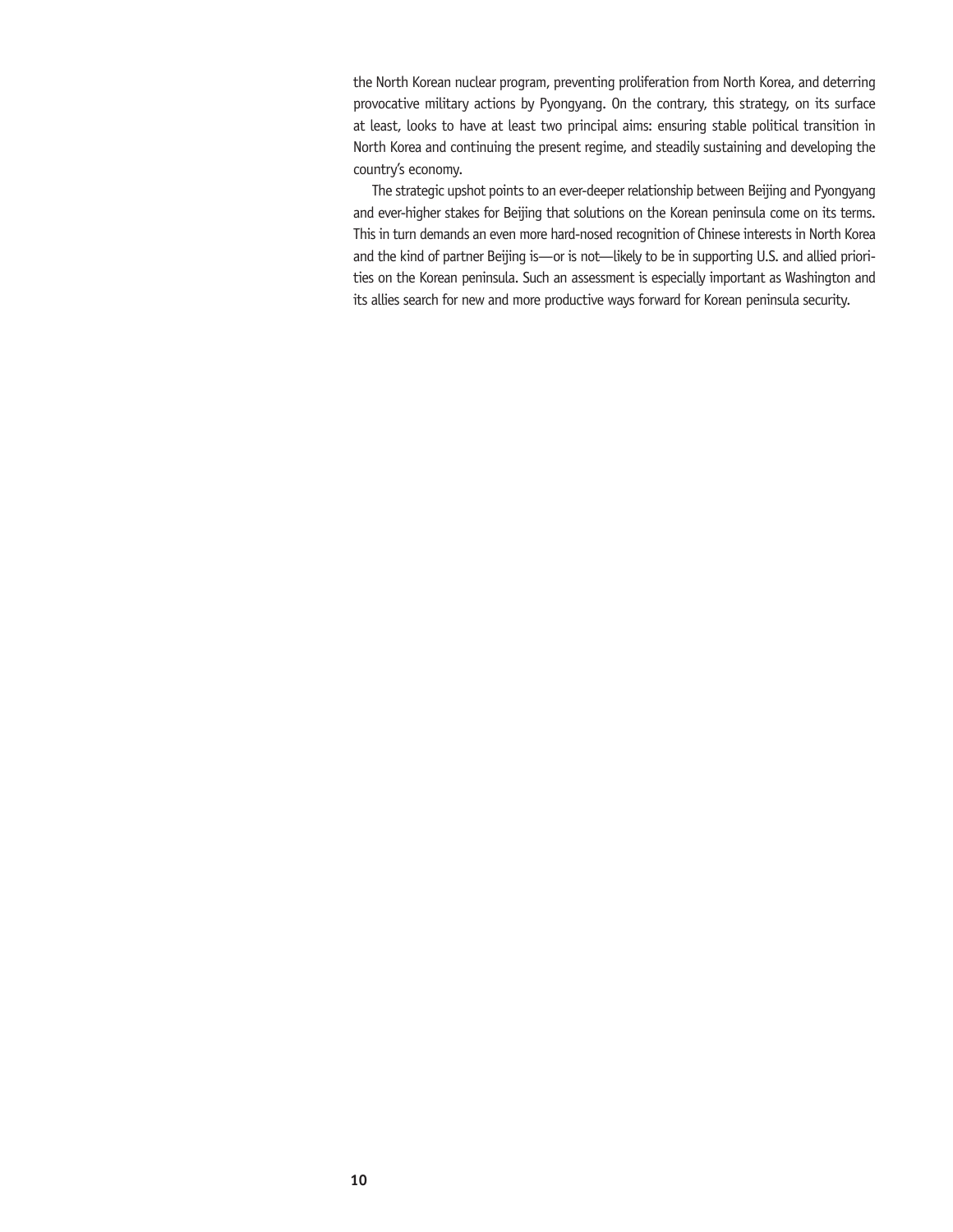the North Korean nuclear program, preventing proliferation from North Korea, and deterring provocative military actions by Pyongyang. On the contrary, this strategy, on its surface at least, looks to have at least two principal aims: ensuring stable political transition in North Korea and continuing the present regime, and steadily sustaining and developing the country's economy.

The strategic upshot points to an ever-deeper relationship between Beijing and Pyongyang and ever-higher stakes for Beijing that solutions on the Korean peninsula come on its terms. This in turn demands an even more hard-nosed recognition of Chinese interests in North Korea and the kind of partner Beijing is—or is not—likely to be in supporting U.S. and allied priorities on the Korean peninsula. Such an assessment is especially important as Washington and its allies search for new and more productive ways forward for Korean peninsula security.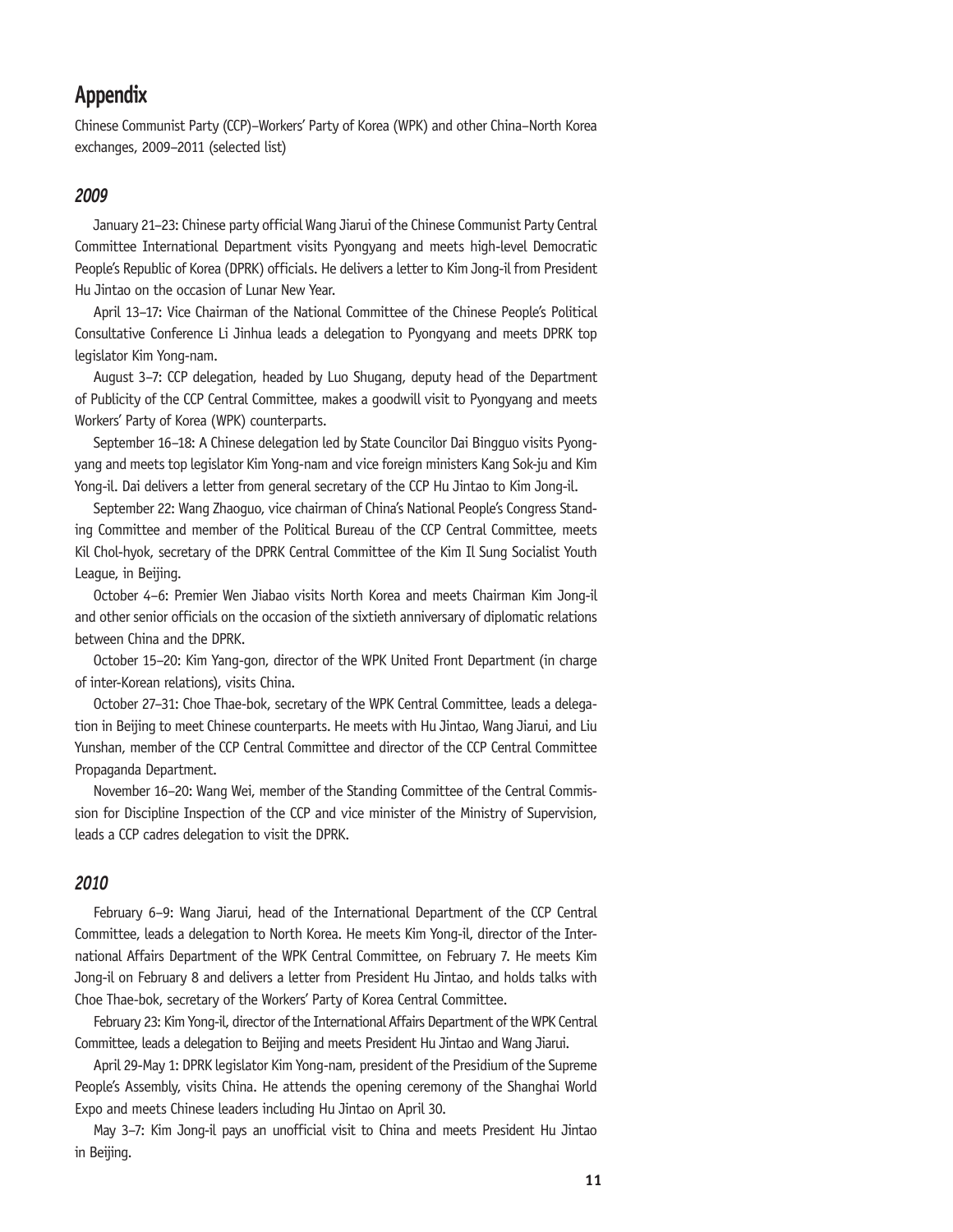## **Appendix**

Chinese Communist Party (CCP)–Workers' Party of Korea (WPK) and other China–North Korea exchanges, 2009–2011 (selected list)

#### *2009*

January 21–23: Chinese party official Wang Jiarui of the Chinese Communist Party Central Committee International Department visits Pyongyang and meets high-level Democratic People's Republic of Korea (DPRK) officials. He delivers a letter to Kim Jong-il from President Hu Jintao on the occasion of Lunar New Year.

April 13–17: Vice Chairman of the National Committee of the Chinese People's Political Consultative Conference Li Jinhua leads a delegation to Pyongyang and meets DPRK top legislator Kim Yong-nam.

August 3–7: CCP delegation, headed by Luo Shugang, deputy head of the Department of Publicity of the CCP Central Committee, makes a goodwill visit to Pyongyang and meets Workers' Party of Korea (WPK) counterparts.

September 16–18: A Chinese delegation led by State Councilor Dai Bingguo visits Pyongyang and meets top legislator Kim Yong-nam and vice foreign ministers Kang Sok-ju and Kim Yong-il. Dai delivers a letter from general secretary of the CCP Hu Jintao to Kim Jong-il.

September 22: Wang Zhaoguo, vice chairman of China's National People's Congress Standing Committee and member of the Political Bureau of the CCP Central Committee, meets Kil Chol-hyok, secretary of the DPRK Central Committee of the Kim Il Sung Socialist Youth League, in Beijing.

October 4–6: Premier Wen Jiabao visits North Korea and meets Chairman Kim Jong-il and other senior officials on the occasion of the sixtieth anniversary of diplomatic relations between China and the DPRK.

October 15–20: Kim Yang-gon, director of the WPK United Front Department (in charge of inter-Korean relations), visits China.

October 27–31: Choe Thae-bok, secretary of the WPK Central Committee, leads a delegation in Beijing to meet Chinese counterparts. He meets with Hu Jintao, Wang Jiarui, and Liu Yunshan, member of the CCP Central Committee and director of the CCP Central Committee Propaganda Department.

November 16–20: Wang Wei, member of the Standing Committee of the Central Commission for Discipline Inspection of the CCP and vice minister of the Ministry of Supervision, leads a CCP cadres delegation to visit the DPRK.

#### *2010*

February 6–9: Wang Jiarui, head of the International Department of the CCP Central Committee, leads a delegation to North Korea. He meets Kim Yong-il, director of the International Affairs Department of the WPK Central Committee, on February 7. He meets Kim Jong-il on February 8 and delivers a letter from President Hu Jintao, and holds talks with Choe Thae-bok, secretary of the Workers' Party of Korea Central Committee.

February 23: Kim Yong-il, director of the International Affairs Department of the WPK Central Committee, leads a delegation to Beijing and meets President Hu Jintao and Wang Jiarui.

April 29-May 1: DPRK legislator Kim Yong-nam, president of the Presidium of the Supreme People's Assembly, visits China. He attends the opening ceremony of the Shanghai World Expo and meets Chinese leaders including Hu Jintao on April 30.

May 3–7: Kim Jong-il pays an unofficial visit to China and meets President Hu Jintao in Beijing.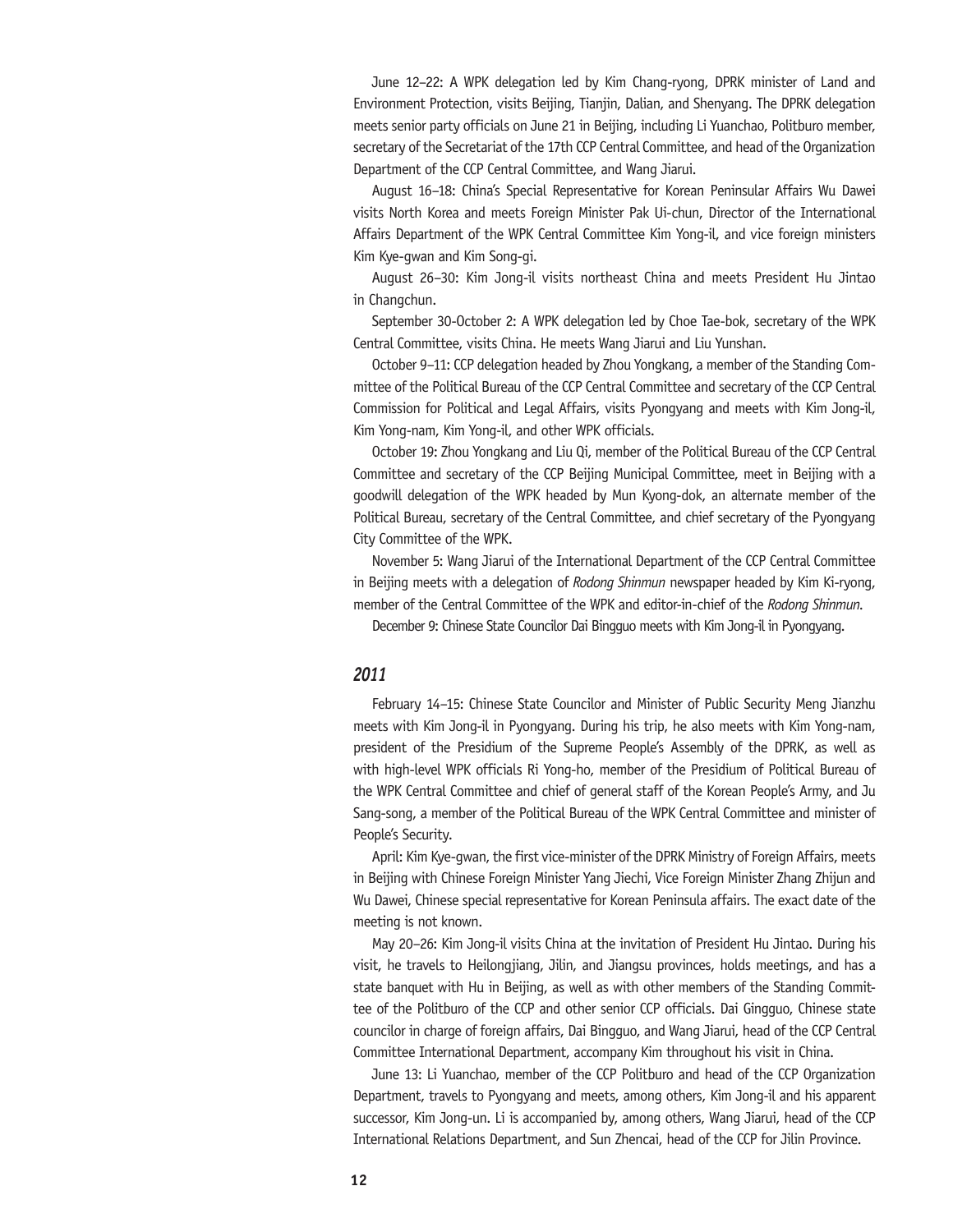June 12–22: A WPK delegation led by Kim Chang-ryong, DPRK minister of Land and Environment Protection, visits Beijing, Tianjin, Dalian, and Shenyang. The DPRK delegation meets senior party officials on June 21 in Beijing, including Li Yuanchao, Politburo member, secretary of the Secretariat of the 17th CCP Central Committee, and head of the Organization Department of the CCP Central Committee, and Wang Jiarui.

August 16–18: China's Special Representative for Korean Peninsular Affairs Wu Dawei visits North Korea and meets Foreign Minister Pak Ui-chun, Director of the International Affairs Department of the WPK Central Committee Kim Yong-il, and vice foreign ministers Kim Kye-gwan and Kim Song-gi.

August 26–30: Kim Jong-il visits northeast China and meets President Hu Jintao in Changchun.

September 30-October 2: A WPK delegation led by Choe Tae-bok, secretary of the WPK Central Committee, visits China. He meets Wang Jiarui and Liu Yunshan.

October 9–11: CCP delegation headed by Zhou Yongkang, a member of the Standing Committee of the Political Bureau of the CCP Central Committee and secretary of the CCP Central Commission for Political and Legal Affairs, visits Pyongyang and meets with Kim Jong-il, Kim Yong-nam, Kim Yong-il, and other WPK officials.

October 19: Zhou Yongkang and Liu Qi, member of the Political Bureau of the CCP Central Committee and secretary of the CCP Beijing Municipal Committee, meet in Beijing with a goodwill delegation of the WPK headed by Mun Kyong-dok, an alternate member of the Political Bureau, secretary of the Central Committee, and chief secretary of the Pyongyang City Committee of the WPK.

November 5: Wang Jiarui of the International Department of the CCP Central Committee in Beijing meets with a delegation of *Rodong Shinmun* newspaper headed by Kim Ki-ryong, member of the Central Committee of the WPK and editor-in-chief of the *Rodong Shinmun.*

December 9: Chinese State Councilor Dai Bingguo meets with Kim Jong-il in Pyongyang.

#### *2011*

February 14–15: Chinese State Councilor and Minister of Public Security Meng Jianzhu meets with Kim Jong-il in Pyongyang. During his trip, he also meets with Kim Yong-nam, president of the Presidium of the Supreme People's Assembly of the DPRK, as well as with high-level WPK officials Ri Yong-ho, member of the Presidium of Political Bureau of the WPK Central Committee and chief of general staff of the Korean People's Army, and Ju Sang-song, a member of the Political Bureau of the WPK Central Committee and minister of People's Security.

April: Kim Kye-gwan, the first vice-minister of the DPRK Ministry of Foreign Affairs, meets in Beijing with Chinese Foreign Minister Yang Jiechi, Vice Foreign Minister Zhang Zhijun and Wu Dawei, Chinese special representative for Korean Peninsula affairs. The exact date of the meeting is not known.

May 20–26: Kim Jong-il visits China at the invitation of President Hu Jintao. During his visit, he travels to Heilongjiang, Jilin, and Jiangsu provinces, holds meetings, and has a state banquet with Hu in Beijing, as well as with other members of the Standing Committee of the Politburo of the CCP and other senior CCP officials. Dai Gingguo, Chinese state councilor in charge of foreign affairs, Dai Bingguo, and Wang Jiarui, head of the CCP Central Committee International Department, accompany Kim throughout his visit in China.

June 13: Li Yuanchao, member of the CCP Politburo and head of the CCP Organization Department, travels to Pyongyang and meets, among others, Kim Jong-il and his apparent successor, Kim Jong-un. Li is accompanied by, among others, Wang Jiarui, head of the CCP International Relations Department, and Sun Zhencai, head of the CCP for Jilin Province.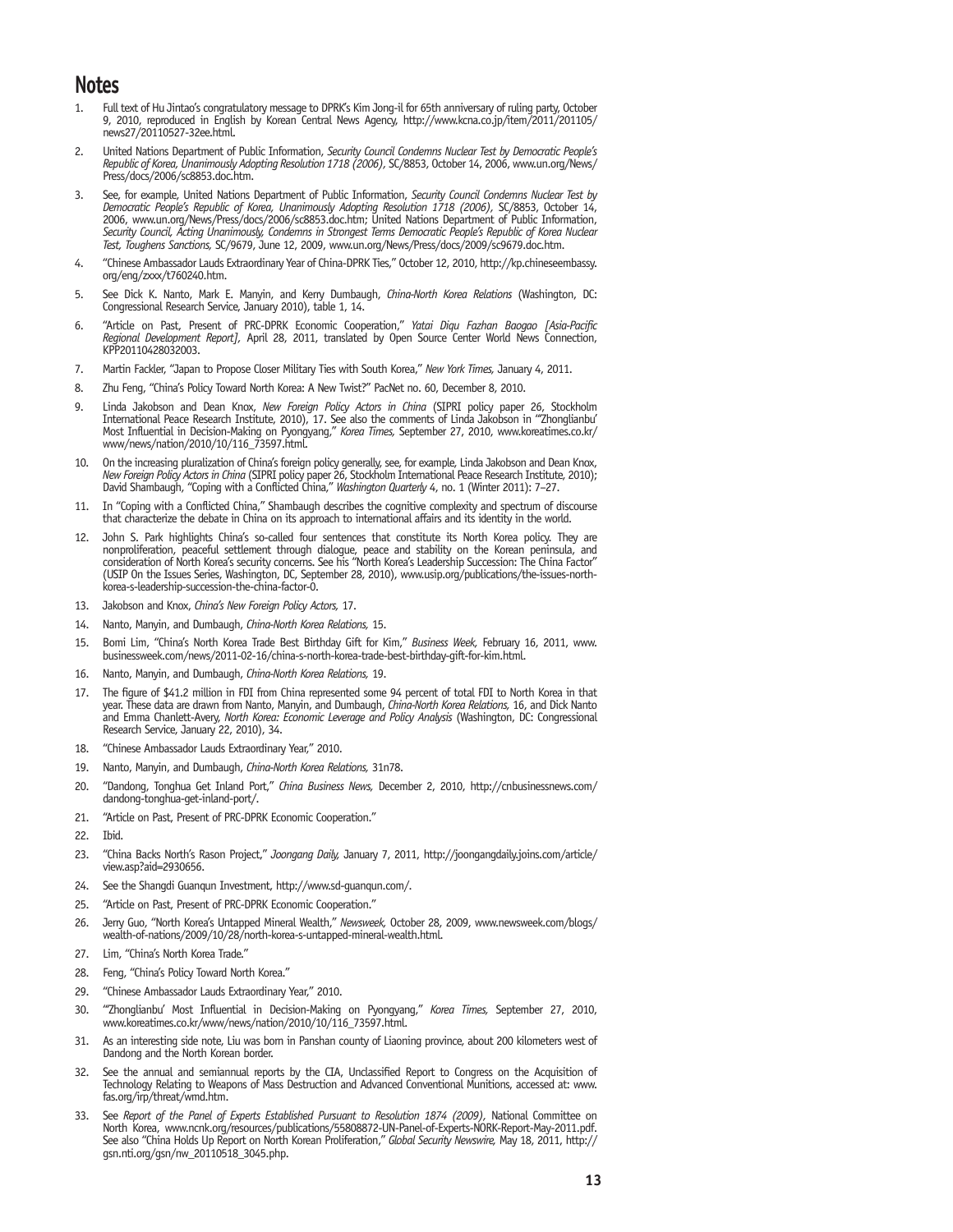## **Notes**

- 1. Full text of Hu Jintao's congratulatory message to DPRK's Kim Jong-il for 65th anniversary of ruling party, October 9, 2010, reproduced in English by Korean Central News Agency, http://www.kcna.co.jp/item/2011/201105/ news27/20110527-32ee.html.
- 2. United Nations Department of Public Information, *Security Council Condemns Nuclear Test by Democratic People's Republic of Korea, Unanimously Adopting Resolution 1718 (2006),* SC/8853, October 14, 2006, www.un.org/News/ Press/docs/2006/sc8853.doc.htm.
- 3. See, for example, United Nations Department of Public Information, *Security Council Condemns Nuclear Test by Democratic People's Republic of Korea, Unanimously Adopting Resolution 1718 (2006),* SC/8853, October 14, 2006, www.un.org/News/Press/docs/2006/sc8853.doc.htm; United Nations Department of Public Information, *Security Council, Acting Unanimously, Condemns in Strongest Terms Democratic People's Republic of Korea Nuclear Test, Toughens Sanctions,* SC/9679, June 12, 2009, www.un.org/News/Press/docs/2009/sc9679.doc.htm.
- 4. "Chinese Ambassador Lauds Extraordinary Year of China-DPRK Ties," October 12, 2010, http://kp.chineseembassy. org/eng/zxxx/t760240.htm.
- 5. See Dick K. Nanto, Mark E. Manyin, and Kerry Dumbaugh, *China-North Korea Relations* (Washington, DC: Congressional Research Service, January 2010), table 1, 14.
- 6. "Article on Past, Present of PRC-DPRK Economic Cooperation," *Yatai Diqu Fazhan Baogao [Asia-Pacific Regional Development Report],* April 28, 2011, translated by Open Source Center World News Connection, KPP20110428032003.
- 7. Martin Fackler, "Japan to Propose Closer Military Ties with South Korea," *New York Times,* January 4, 2011.
- 8. Zhu Feng, "China's Policy Toward North Korea: A New Twist?" PacNet no. 60, December 8, 2010.
- 9. Linda Jakobson and Dean Knox, *New Foreign Policy Actors in China* (SIPRI policy paper 26, Stockholm International Peace Research Institute, 2010), 17. See also the comments of Linda Jakobson in "'Zhonglianbu' Most Influential in Decision-Making on Pyongyang," *Korea Times,* September 27, 2010, www.koreatimes.co.kr/ www/news/nation/2010/10/116\_73597.html.
- 10. On the increasing pluralization of China's foreign policy generally, see, for example, Linda Jakobson and Dean Knox, *New Foreign Policy Actors in China* (SIPRI policy paper 26, Stockholm International Peace Research Institute, 2010); David Shambaugh, "Coping with a Conflicted China," *Washington Quarterly* 4, no. 1 (Winter 2011): 7–27.
- In "Coping with a Conflicted China," Shambaugh describes the cognitive complexity and spectrum of discourse that characterize the debate in China on its approach to international affairs and its identity in the world.
- John S. Park highlights China's so-called four sentences that constitute its North Korea policy. They are nonproliferation, peaceful settlement through dialogue, peace and stability on the Korean peninsula, and consideration of North Korea's security concerns. See his "North Korea's Leadership Succession: The China Factor" (USIP On the Issues Series, Washington, DC, September 28, 2010), www.usip.org/publications/the-issues-northkorea-s-leadership-succession-the-china-factor-0.
- 13. Jakobson and Knox, *China's New Foreign Policy Actors,* 17.
- 14. Nanto, Manyin, and Dumbaugh, *China-North Korea Relations,* 15.
- 15. Bomi Lim, "China's North Korea Trade Best Birthday Gift for Kim," *Business Week,* February 16, 2011, www. businessweek.com/news/2011-02-16/china-s-north-korea-trade-best-birthday-gift-for-kim.html.
- 16. Nanto, Manyin, and Dumbaugh, *China-North Korea Relations,* 19.
- 17. The figure of \$41.2 million in FDI from China represented some 94 percent of total FDI to North Korea in that year. These data are drawn from Nanto, Manyin, and Dumbaugh, *China-North Korea Relations,* 16, and Dick Nanto and Emma Chanlett-Avery, *North Korea: Economic Leverage and Policy Analysis* (Washington, DC: Congressional Research Service, January 22, 2010), 34.
- 18. "Chinese Ambassador Lauds Extraordinary Year," 2010.
- 19. Nanto, Manyin, and Dumbaugh, *China-North Korea Relations,* 31n78.
- 20. "Dandong, Tonghua Get Inland Port," *China Business News,* December 2, 2010, http://cnbusinessnews.com/ dandong-tonghua-get-inland-port/.
- 21. "Article on Past, Present of PRC-DPRK Economic Cooperation."
- 22. Ibid.
- 23. "China Backs North's Rason Project," *Joongang Daily,* January 7, 2011, http://joongangdaily.joins.com/article/ view.asp?aid=2930656.
- 24. See the Shangdi Guanqun Investment, http://www.sd-guanqun.com/.
- 25. "Article on Past, Present of PRC-DPRK Economic Cooperation."
- 26. Jerry Guo, "North Korea's Untapped Mineral Wealth," *Newsweek,* October 28, 2009, www.newsweek.com/blogs/ wealth-of-nations/2009/10/28/north-korea-s-untapped-mineral-wealth.html.
- 27. Lim, "China's North Korea Trade."
- 28. Feng, "China's Policy Toward North Korea."
- 29. "Chinese Ambassador Lauds Extraordinary Year," 2010.
- 30. "'Zhonglianbu' Most Influential in Decision-Making on Pyongyang," *Korea Times,* September 27, 2010, www.koreatimes.co.kr/www/news/nation/2010/10/116\_73597.html.
- 31. As an interesting side note, Liu was born in Panshan county of Liaoning province, about 200 kilometers west of Dandong and the North Korean border.
- 32. See the annual and semiannual reports by the CIA, Unclassified Report to Congress on the Acquisition of Technology Relating to Weapons of Mass Destruction and Advanced Conventional Munitions, accessed at: www. fas.org/irp/threat/wmd.htm.
- 33. See *Report of the Panel of Experts Established Pursuant to Resolution 1874 (2009),* National Committee on North Korea, www.ncnk.org/resources/publications/55808872-UN-Panel-of-Experts-NORK-Report-May-2011.pdf. See also "China Holds Up Report on North Korean Proliferation," *Global Security Newswire,* May 18, 2011, http:// gsn.nti.org/gsn/nw\_20110518\_3045.php.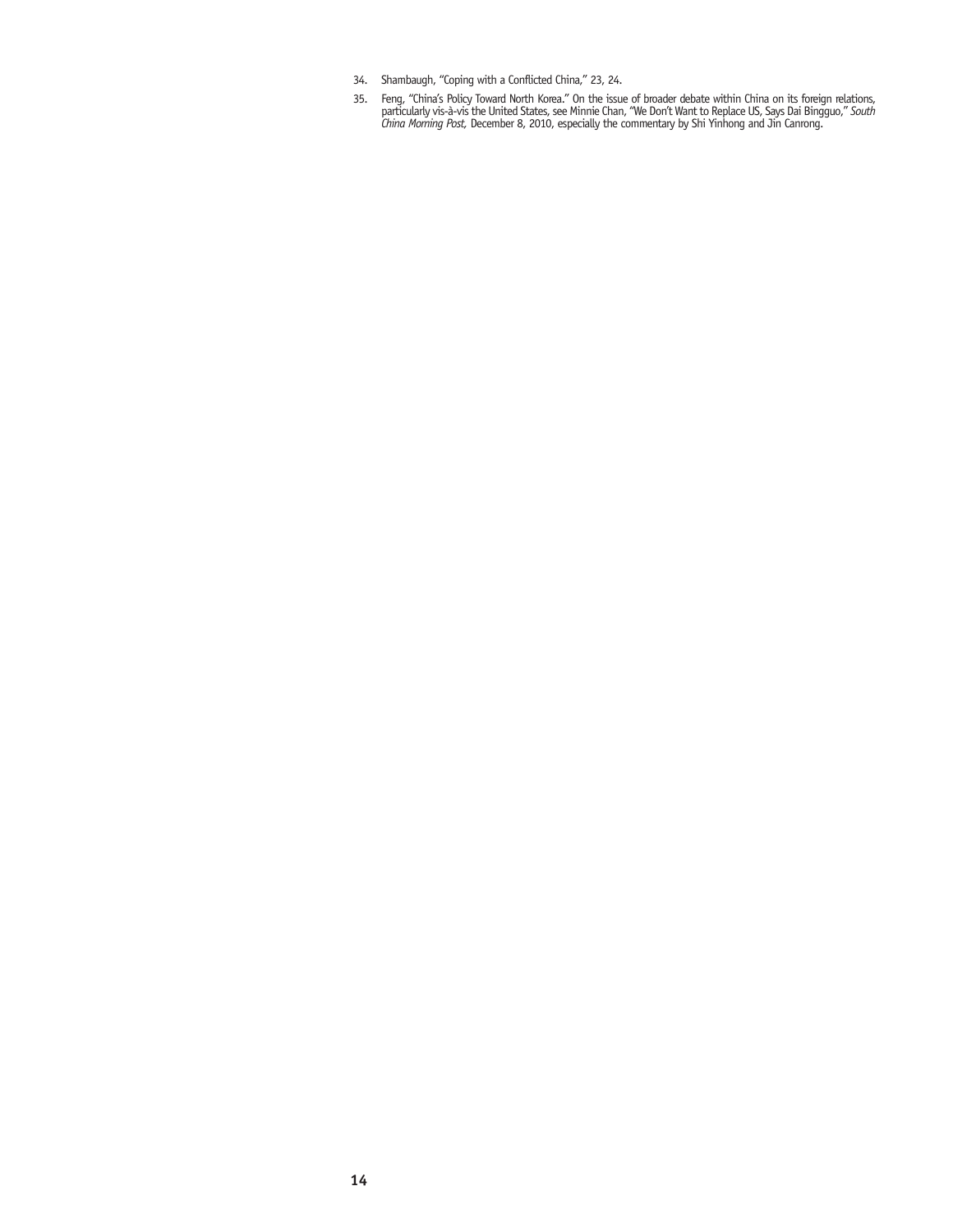- 34. Shambaugh, "Coping with a Conflicted China," 23, 24.
- 35. Feng, "China's Policy Toward North Korea." On the issue of broader debate within China on its foreign relations, particularly vis-à-vis the United States, see Minnie Chan, "We Don't Want to Replace US, Says Dai Bingguo," *South China Morning Post,* December 8, 2010, especially the commentary by Shi Yinhong and Jin Canrong.